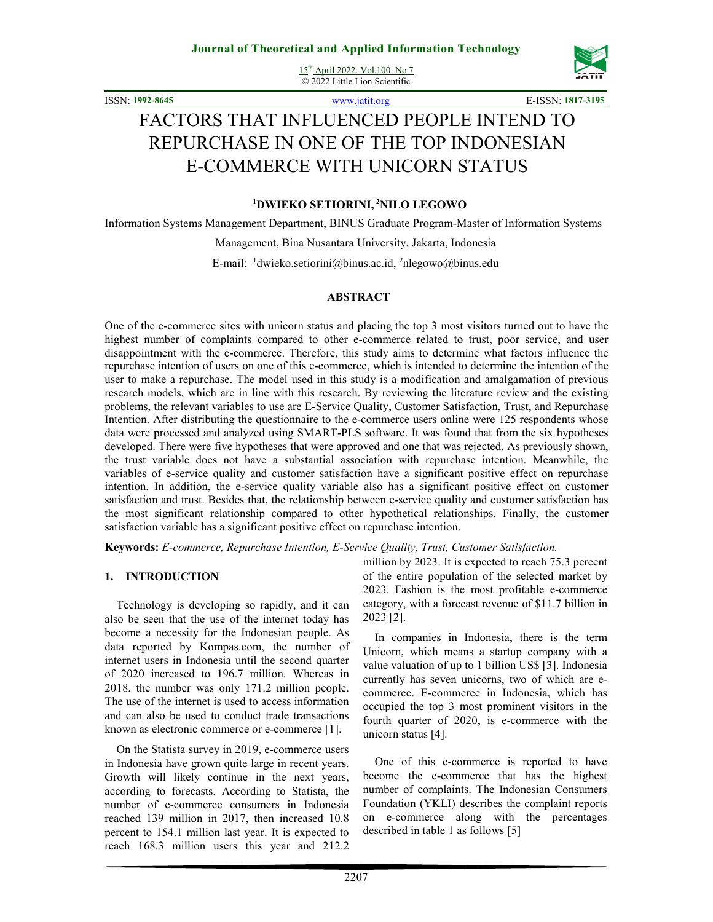15th April 2022. Vol.100. No 7 © 2022 Little Lion Scientific



ISSN: **1992-8645** www.jatit.org E-ISSN: **1817-3195**

# FACTORS THAT INFLUENCED PEOPLE INTEND TO REPURCHASE IN ONE OF THE TOP INDONESIAN E-COMMERCE WITH UNICORN STATUS

#### **<sup>1</sup>DWIEKO SETIORINI,<sup>2</sup>NILO LEGOWO**

Information Systems Management Department, BINUS Graduate Program-Master of Information Systems

Management, Bina Nusantara University, Jakarta, Indonesia

E-mail: <sup>1</sup>dwieko.setiorini@binus.ac.id, <sup>2</sup>nlegowo@binus.edu

#### **ABSTRACT**

One of the e-commerce sites with unicorn status and placing the top 3 most visitors turned out to have the highest number of complaints compared to other e-commerce related to trust, poor service, and user disappointment with the e-commerce. Therefore, this study aims to determine what factors influence the repurchase intention of users on one of this e-commerce, which is intended to determine the intention of the user to make a repurchase. The model used in this study is a modification and amalgamation of previous research models, which are in line with this research. By reviewing the literature review and the existing problems, the relevant variables to use are E-Service Quality, Customer Satisfaction, Trust, and Repurchase Intention. After distributing the questionnaire to the e-commerce users online were 125 respondents whose data were processed and analyzed using SMART-PLS software. It was found that from the six hypotheses developed. There were five hypotheses that were approved and one that was rejected. As previously shown, the trust variable does not have a substantial association with repurchase intention. Meanwhile, the variables of e-service quality and customer satisfaction have a significant positive effect on repurchase intention. In addition, the e-service quality variable also has a significant positive effect on customer satisfaction and trust. Besides that, the relationship between e-service quality and customer satisfaction has the most significant relationship compared to other hypothetical relationships. Finally, the customer satisfaction variable has a significant positive effect on repurchase intention.

**Keywords:** *E-commerce, Repurchase Intention, E-Service Quality, Trust, Customer Satisfaction.* 

#### **1. INTRODUCTION**

Technology is developing so rapidly, and it can also be seen that the use of the internet today has become a necessity for the Indonesian people. As data reported by Kompas.com, the number of internet users in Indonesia until the second quarter of 2020 increased to 196.7 million. Whereas in 2018, the number was only 171.2 million people. The use of the internet is used to access information and can also be used to conduct trade transactions known as electronic commerce or e-commerce [1].

On the Statista survey in 2019, e-commerce users in Indonesia have grown quite large in recent years. Growth will likely continue in the next years, according to forecasts. According to Statista, the number of e-commerce consumers in Indonesia reached 139 million in 2017, then increased 10.8 percent to 154.1 million last year. It is expected to reach 168.3 million users this year and 212.2

million by 2023. It is expected to reach 75.3 percent of the entire population of the selected market by 2023. Fashion is the most profitable e-commerce category, with a forecast revenue of \$11.7 billion in 2023 [2].

In companies in Indonesia, there is the term Unicorn, which means a startup company with a value valuation of up to 1 billion US\$ [3]. Indonesia currently has seven unicorns, two of which are ecommerce. E-commerce in Indonesia, which has occupied the top 3 most prominent visitors in the fourth quarter of 2020, is e-commerce with the unicorn status [4].

One of this e-commerce is reported to have become the e-commerce that has the highest number of complaints. The Indonesian Consumers Foundation (YKLI) describes the complaint reports on e-commerce along with the percentages described in table 1 as follows [5]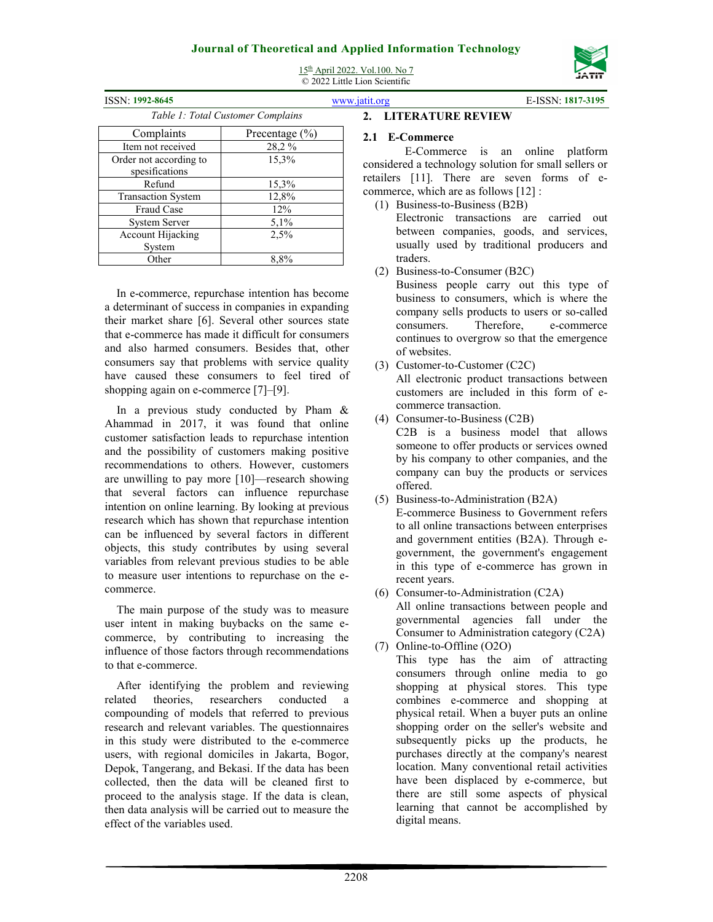

| <b>ISSN: 1992-8645</b>            |                    |  |  |  |  |  |
|-----------------------------------|--------------------|--|--|--|--|--|
| Table 1: Total Customer Complains |                    |  |  |  |  |  |
| Complaints                        | Precentage $(\% )$ |  |  |  |  |  |
| Item not received                 | 28,2%              |  |  |  |  |  |
| Order not according to            | 15,3%              |  |  |  |  |  |
| spesifications                    |                    |  |  |  |  |  |
| Refund                            | 15,3%              |  |  |  |  |  |
| <b>Transaction System</b>         | 12,8%              |  |  |  |  |  |
| <b>Fraud Case</b>                 | 12%                |  |  |  |  |  |
| <b>System Server</b>              | 5,1%               |  |  |  |  |  |
| <b>Account Hijacking</b>          | 2,5%               |  |  |  |  |  |
| System                            |                    |  |  |  |  |  |
| Other                             | 8,8%               |  |  |  |  |  |

15th April 2022. Vol.100. No 7 © 2022 Little Lion Scientific

#### ISSN: **1992-8645** www.jatit.org E-ISSN: **1817-3195**

#### **2. LITERATURE REVIEW**

#### **2.1 E-Commerce**

E-Commerce is an online platform considered a technology solution for small sellers or retailers [11]. There are seven forms of ecommerce, which are as follows [12] :

- (1) Business-to-Business (B2B) Electronic transactions are carried out between companies, goods, and services, usually used by traditional producers and traders.
- (2) Business-to-Consumer (B2C)

Business people carry out this type of business to consumers, which is where the company sells products to users or so-called consumers. Therefore, e-commerce continues to overgrow so that the emergence of websites.

- (3) Customer-to-Customer (C2C) All electronic product transactions between customers are included in this form of ecommerce transaction.
- (4) Consumer-to-Business (C2B) C2B is a business model that allows someone to offer products or services owned by his company to other companies, and the company can buy the products or services offered.
- (5) Business-to-Administration (B2A) E-commerce Business to Government refers to all online transactions between enterprises and government entities (B2A). Through egovernment, the government's engagement in this type of e-commerce has grown in recent years.
- (6) Consumer-to-Administration (C2A) All online transactions between people and governmental agencies fall under the Consumer to Administration category (C2A)
- (7) Online-to-Offline (O2O) This type has the aim of attracting consumers through online media to go shopping at physical stores. This type combines e-commerce and shopping at physical retail. When a buyer puts an online shopping order on the seller's website and subsequently picks up the products, he purchases directly at the company's nearest location. Many conventional retail activities have been displaced by e-commerce, but there are still some aspects of physical learning that cannot be accomplished by digital means.

In e-commerce, repurchase intention has become a determinant of success in companies in expanding their market share [6]. Several other sources state that e-commerce has made it difficult for consumers and also harmed consumers. Besides that, other consumers say that problems with service quality have caused these consumers to feel tired of shopping again on e-commerce [7]–[9].

In a previous study conducted by Pham & Ahammad in 2017, it was found that online customer satisfaction leads to repurchase intention and the possibility of customers making positive recommendations to others. However, customers are unwilling to pay more [10]—research showing that several factors can influence repurchase intention on online learning. By looking at previous research which has shown that repurchase intention can be influenced by several factors in different objects, this study contributes by using several variables from relevant previous studies to be able to measure user intentions to repurchase on the ecommerce.

The main purpose of the study was to measure user intent in making buybacks on the same ecommerce, by contributing to increasing the influence of those factors through recommendations to that e-commerce.

After identifying the problem and reviewing related theories, researchers conducted a compounding of models that referred to previous research and relevant variables. The questionnaires in this study were distributed to the e-commerce users, with regional domiciles in Jakarta, Bogor, Depok, Tangerang, and Bekasi. If the data has been collected, then the data will be cleaned first to proceed to the analysis stage. If the data is clean, then data analysis will be carried out to measure the effect of the variables used.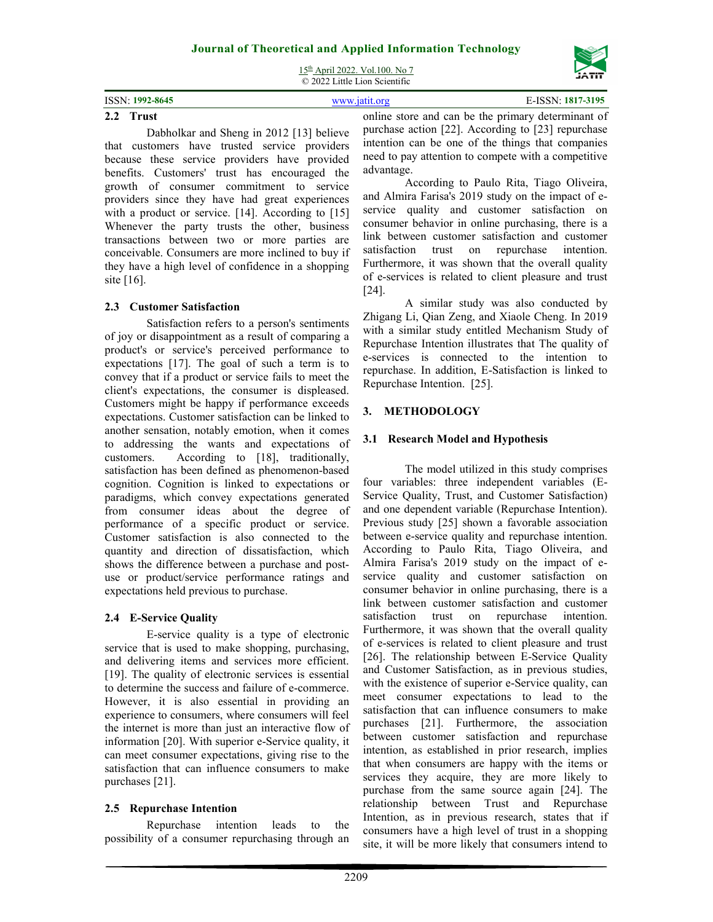

15th April 2022. Vol.100. No 7 © 2022 Little Lion Scientific

| ISSN: 1992-8645 | WWW 1911 oro |  |  | E-ISSN: 1817-3195 |  |
|-----------------|--------------|--|--|-------------------|--|
|                 | $-$          |  |  |                   |  |

#### **2.2 Trust**

Dabholkar and Sheng in 2012 [13] believe that customers have trusted service providers because these service providers have provided benefits. Customers' trust has encouraged the growth of consumer commitment to service providers since they have had great experiences with a product or service. [14]. According to [15] Whenever the party trusts the other, business transactions between two or more parties are conceivable. Consumers are more inclined to buy if they have a high level of confidence in a shopping site [16].

#### **2.3 Customer Satisfaction**

Satisfaction refers to a person's sentiments of joy or disappointment as a result of comparing a product's or service's perceived performance to expectations [17]. The goal of such a term is to convey that if a product or service fails to meet the client's expectations, the consumer is displeased. Customers might be happy if performance exceeds expectations. Customer satisfaction can be linked to another sensation, notably emotion, when it comes to addressing the wants and expectations of customers. According to [18], traditionally, satisfaction has been defined as phenomenon-based cognition. Cognition is linked to expectations or paradigms, which convey expectations generated from consumer ideas about the degree of performance of a specific product or service. Customer satisfaction is also connected to the quantity and direction of dissatisfaction, which shows the difference between a purchase and postuse or product/service performance ratings and expectations held previous to purchase.

#### **2.4 E-Service Quality**

E-service quality is a type of electronic service that is used to make shopping, purchasing, and delivering items and services more efficient. [19]. The quality of electronic services is essential to determine the success and failure of e-commerce. However, it is also essential in providing an experience to consumers, where consumers will feel the internet is more than just an interactive flow of information [20]. With superior e-Service quality, it can meet consumer expectations, giving rise to the satisfaction that can influence consumers to make purchases [21].

### **2.5 Repurchase Intention**

Repurchase intention leads to the possibility of a consumer repurchasing through an

online store and can be the primary determinant of purchase action [22]. According to [23] repurchase intention can be one of the things that companies need to pay attention to compete with a competitive advantage.

According to Paulo Rita, Tiago Oliveira, and Almira Farisa's 2019 study on the impact of eservice quality and customer satisfaction on consumer behavior in online purchasing, there is a link between customer satisfaction and customer satisfaction trust on repurchase intention. Furthermore, it was shown that the overall quality of e-services is related to client pleasure and trust [24].

A similar study was also conducted by Zhigang Li, Qian Zeng, and Xiaole Cheng. In 2019 with a similar study entitled Mechanism Study of Repurchase Intention illustrates that The quality of e-services is connected to the intention to repurchase. In addition, E-Satisfaction is linked to Repurchase Intention. [25].

#### **3. METHODOLOGY**

#### **3.1 Research Model and Hypothesis**

The model utilized in this study comprises four variables: three independent variables (E-Service Quality, Trust, and Customer Satisfaction) and one dependent variable (Repurchase Intention). Previous study [25] shown a favorable association between e-service quality and repurchase intention. According to Paulo Rita, Tiago Oliveira, and Almira Farisa's 2019 study on the impact of eservice quality and customer satisfaction on consumer behavior in online purchasing, there is a link between customer satisfaction and customer satisfaction trust on repurchase intention. Furthermore, it was shown that the overall quality of e-services is related to client pleasure and trust [26]. The relationship between E-Service Quality and Customer Satisfaction, as in previous studies, with the existence of superior e-Service quality, can meet consumer expectations to lead to the satisfaction that can influence consumers to make purchases [21]. Furthermore, the association between customer satisfaction and repurchase intention, as established in prior research, implies that when consumers are happy with the items or services they acquire, they are more likely to purchase from the same source again [24]. The relationship between Trust and Repurchase Intention, as in previous research, states that if consumers have a high level of trust in a shopping site, it will be more likely that consumers intend to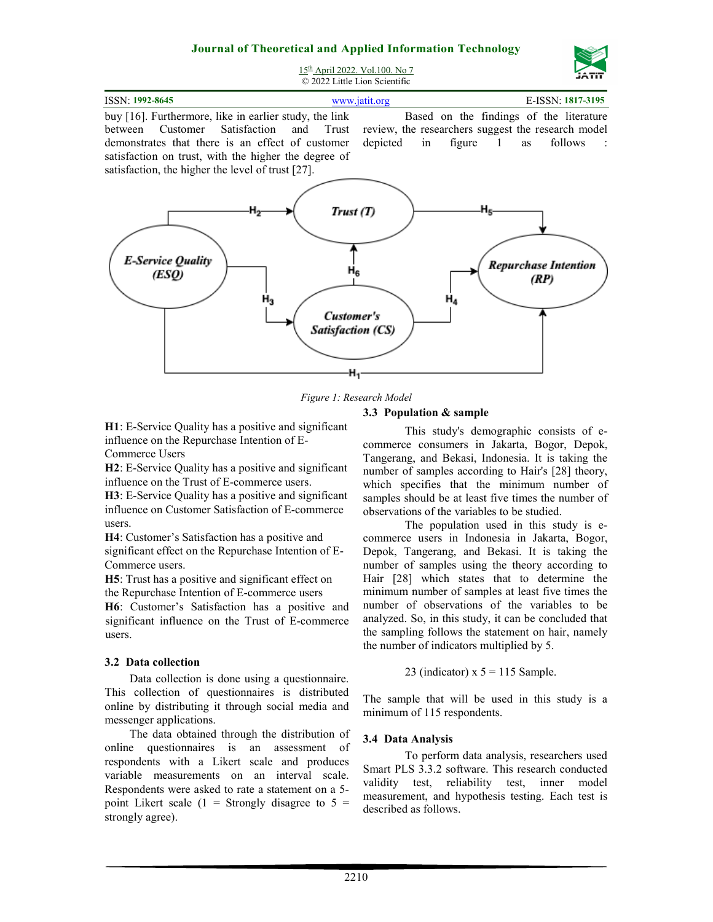

15th April 2022. Vol.100. No 7 © 2022 Little Lion Scientific

| ISSN: 1992-8645 |     |  |  | www.jatit.org |     |  |  |  | E-ISSN: 1817-3195 |
|-----------------|-----|--|--|---------------|-----|--|--|--|-------------------|
| ______<br>__    | $-$ |  |  |               | $-$ |  |  |  |                   |

buy [16]. Furthermore, like in earlier study, the link between Customer Satisfaction and Trust demonstrates that there is an effect of customer satisfaction on trust, with the higher the degree of satisfaction, the higher the level of trust [27].

Based on the findings of the literature review, the researchers suggest the research model depicted in figure 1 as follows :



*Figure 1: Research Model*

#### **3.3 Population & sample**

**H1**: E-Service Quality has a positive and significant influence on the Repurchase Intention of E-Commerce Users

**H2**: E-Service Quality has a positive and significant influence on the Trust of E-commerce users.

**H3**: E-Service Quality has a positive and significant influence on Customer Satisfaction of E-commerce users.

**H4**: Customer's Satisfaction has a positive and significant effect on the Repurchase Intention of E-Commerce users.

**H5**: Trust has a positive and significant effect on the Repurchase Intention of E-commerce users

**H6**: Customer's Satisfaction has a positive and significant influence on the Trust of E-commerce users.

#### **3.2 Data collection**

Data collection is done using a questionnaire. This collection of questionnaires is distributed online by distributing it through social media and messenger applications.

The data obtained through the distribution of online questionnaires is an assessment of respondents with a Likert scale and produces variable measurements on an interval scale. Respondents were asked to rate a statement on a 5 point Likert scale  $(1 =$  Strongly disagree to  $5 =$ strongly agree).

This study's demographic consists of ecommerce consumers in Jakarta, Bogor, Depok, Tangerang, and Bekasi, Indonesia. It is taking the number of samples according to Hair's [28] theory, which specifies that the minimum number of samples should be at least five times the number of observations of the variables to be studied.

The population used in this study is ecommerce users in Indonesia in Jakarta, Bogor, Depok, Tangerang, and Bekasi. It is taking the number of samples using the theory according to Hair [28] which states that to determine the minimum number of samples at least five times the number of observations of the variables to be analyzed. So, in this study, it can be concluded that the sampling follows the statement on hair, namely the number of indicators multiplied by 5.

23 (indicator) 
$$
x 5 = 115
$$
 Sample.

The sample that will be used in this study is a minimum of 115 respondents.

#### **3.4 Data Analysis**

To perform data analysis, researchers used Smart PLS 3.3.2 software. This research conducted validity test, reliability test, inner model measurement, and hypothesis testing. Each test is described as follows.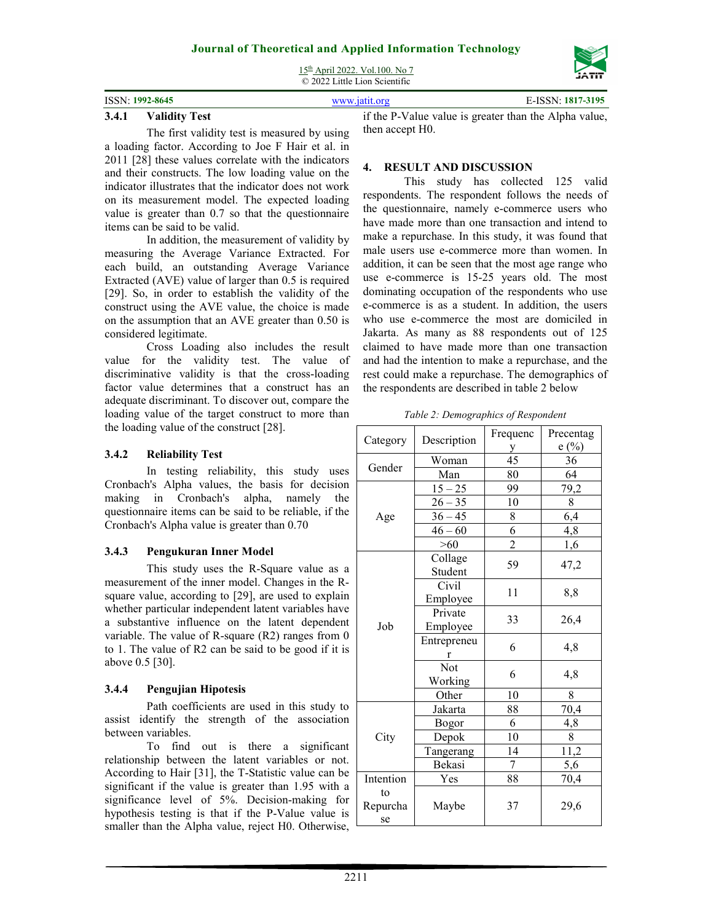15th April 2022. Vol.100. No 7



# ISSN: **1992-8645** www.jatit.org E-ISSN: **1817-3195**

#### **3.4.1 Validity Test**

The first validity test is measured by using a loading factor. According to Joe F Hair et al. in 2011 [28] these values correlate with the indicators and their constructs. The low loading value on the indicator illustrates that the indicator does not work on its measurement model. The expected loading value is greater than 0.7 so that the questionnaire items can be said to be valid.

In addition, the measurement of validity by measuring the Average Variance Extracted. For each build, an outstanding Average Variance Extracted (AVE) value of larger than 0.5 is required [29]. So, in order to establish the validity of the construct using the AVE value, the choice is made on the assumption that an AVE greater than 0.50 is considered legitimate.

Cross Loading also includes the result value for the validity test. The value of discriminative validity is that the cross-loading factor value determines that a construct has an adequate discriminant. To discover out, compare the loading value of the target construct to more than the loading value of the construct [28].

#### **3.4.2 Reliability Test**

In testing reliability, this study uses Cronbach's Alpha values, the basis for decision making in Cronbach's alpha, namely the questionnaire items can be said to be reliable, if the Cronbach's Alpha value is greater than 0.70

#### **3.4.3 Pengukuran Inner Model**

This study uses the R-Square value as a measurement of the inner model. Changes in the Rsquare value, according to [29], are used to explain whether particular independent latent variables have a substantive influence on the latent dependent variable. The value of R-square (R2) ranges from 0 to 1. The value of R2 can be said to be good if it is above 0.5 [30].

### **3.4.4 Pengujian Hipotesis**

Path coefficients are used in this study to assist identify the strength of the association between variables.

To find out is there a significant relationship between the latent variables or not. According to Hair [31], the T-Statistic value can be significant if the value is greater than 1.95 with a significance level of 5%. Decision-making for hypothesis testing is that if the P-Value value is smaller than the Alpha value, reject H0. Otherwise,

if the P-Value value is greater than the Alpha value, then accept H0.

#### **4. RESULT AND DISCUSSION**

This study has collected 125 valid respondents. The respondent follows the needs of the questionnaire, namely e-commerce users who have made more than one transaction and intend to make a repurchase. In this study, it was found that male users use e-commerce more than women. In addition, it can be seen that the most age range who use e-commerce is 15-25 years old. The most dominating occupation of the respondents who use e-commerce is as a student. In addition, the users who use e-commerce the most are domiciled in Jakarta. As many as 88 respondents out of 125 claimed to have made more than one transaction and had the intention to make a repurchase, and the rest could make a repurchase. The demographics of the respondents are described in table 2 below

*Table 2: Demographics of Respondent*

| Category  | Description | Frequenc       | Precentag |  |
|-----------|-------------|----------------|-----------|--|
|           |             | У              | e(%)      |  |
| Gender    | Woman       | 45             | 36        |  |
|           | Man         | 80             | 64        |  |
|           | $15 - 25$   | 99             | 79,2      |  |
|           | $26 - 35$   | 10             | 8         |  |
| Age       | $36 - 45$   | 8              | 6,4       |  |
|           | $46 - 60$   | 6              | 4,8       |  |
|           | $>60$       | $\overline{2}$ | 1,6       |  |
|           | Collage     | 59             |           |  |
|           | Student     |                | 47,2      |  |
|           | Civil       | 11             |           |  |
|           | Employee    |                | 8,8       |  |
|           | Private     | 33             | 26,4      |  |
| Job       | Employee    |                |           |  |
|           | Entrepreneu | 6              | 4,8       |  |
|           | r           |                |           |  |
|           | Not         | 6              | 4,8       |  |
|           | Working     |                |           |  |
|           | Other       | 10             | 8         |  |
|           | Jakarta     | 88             | 70,4      |  |
|           | Bogor       | 6              | 4,8       |  |
| City      | Depok       | 10             | $8\,$     |  |
|           | Tangerang   | 14             | 11,2      |  |
|           | Bekasi      | 7              | 5,6       |  |
| Intention | Yes         | 88             | 70,4      |  |
| to        |             |                |           |  |
| Repurcha  | Maybe       | 37             | 29,6      |  |
| se        |             |                |           |  |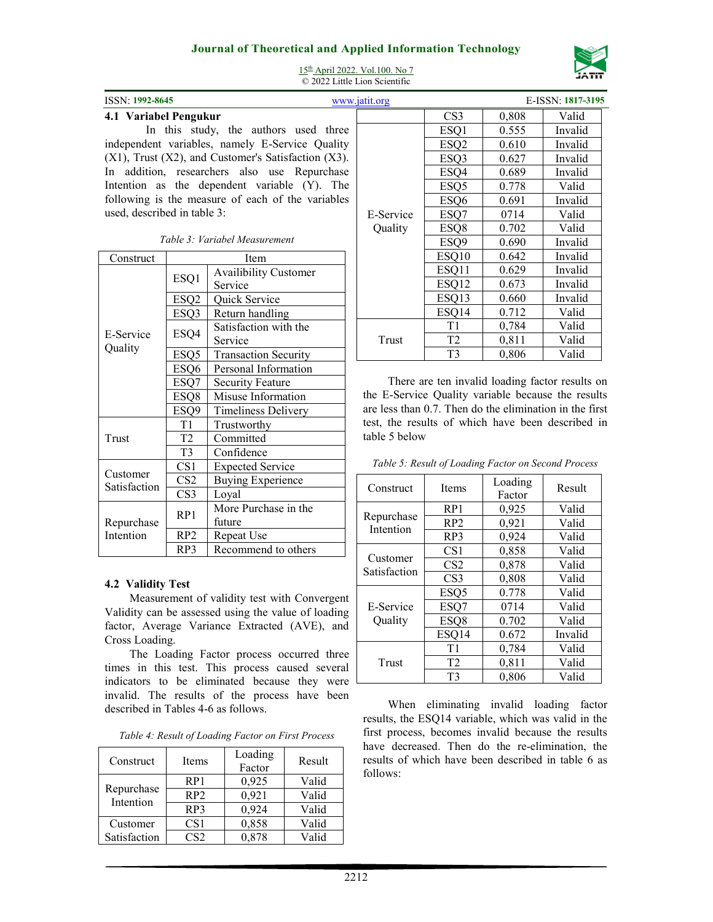

15th April 2022. Vol.100. No 7 © 2022 Little Lion Scientific

| 1551Y. 1994 <del>-0045</del><br>www.ia                       |
|--------------------------------------------------------------|
| 4.1 Variabel Pengukur                                        |
| In this study, the authors used three                        |
| independent variables, namely E-Service Quality              |
| $(X1)$ , Trust $(X2)$ , and Customer's Satisfaction $(X3)$ . |
| In addition, researchers also use Repurchase                 |
| Intention as the dependent variable (Y). The                 |
| following is the measure of each of the variables            |
| used, described in table 3:                                  |

| Construct                |                  | Item                        |
|--------------------------|------------------|-----------------------------|
|                          | ESQ1             | Availibility Customer       |
|                          |                  | Service                     |
|                          | ESQ <sub>2</sub> | Quick Service               |
|                          | ESQ3             | Return handling             |
| <b>E-Service</b>         |                  | Satisfaction with the       |
| Quality                  | ESQ4             | Service                     |
|                          | ESQ <sub>5</sub> | <b>Transaction Security</b> |
|                          | ESQ6             | Personal Information        |
|                          | ESQ7             | <b>Security Feature</b>     |
|                          | ESQ8             | Misuse Information          |
|                          | ESQ9             | <b>Timeliness Delivery</b>  |
|                          | T1               | Trustworthy                 |
| Trust                    | T2               | Committed                   |
|                          | T <sub>3</sub>   | Confidence                  |
|                          | CS <sub>1</sub>  | <b>Expected Service</b>     |
| Customer<br>Satisfaction | CS <sub>2</sub>  | <b>Buying Experience</b>    |
|                          | CS <sub>3</sub>  | Loyal                       |
|                          | RP1              | More Purchase in the        |
| Repurchase               |                  | future                      |
| Intention                | RP <sub>2</sub>  | Repeat Use                  |
|                          | RP3              | Recommend to others         |

#### **4.2 Validity Test**

Measurement of validity test with Convergent Validity can be assessed using the value of loading factor, Average Variance Extracted (AVE), and Cross Loading.

The Loading Factor process occurred three times in this test. This process caused several indicators to be eliminated because they were invalid. The results of the process have been described in Tables 4-6 as follows.

| Construct               | Items           | Loading<br>Factor | Result |
|-------------------------|-----------------|-------------------|--------|
|                         | RP <sub>1</sub> | 0,925             | Valid  |
| Repurchase<br>Intention | RP <sub>2</sub> | 0,921             | Valid  |
|                         | RP <sub>3</sub> | 0,924             | Valid  |
| Customer                | CS <sub>1</sub> | 0,858             | Valid  |
| Satisfaction            | CS <sub>2</sub> | 0.878             | Valid  |

| ISSN: 1992-8645             |                  |                                                              | www.jatit.org |                  |       | E-ISSN: 1817-3195 |
|-----------------------------|------------------|--------------------------------------------------------------|---------------|------------------|-------|-------------------|
| 4.1 Variabel Pengukur       |                  |                                                              |               | CS <sub>3</sub>  | 0,808 | Valid             |
|                             |                  | In this study, the authors used three                        |               | ESQ1             | 0.555 | Invalid           |
|                             |                  | independent variables, namely E-Service Quality              |               | ESQ <sub>2</sub> | 0.610 | Invalid           |
|                             |                  | $(X1)$ , Trust $(X2)$ , and Customer's Satisfaction $(X3)$ . |               | ESQ3             | 0.627 | Invalid           |
|                             |                  | In addition, researchers also use Repurchase                 |               | ESQ4             | 0.689 | Invalid           |
|                             |                  | Intention as the dependent variable (Y). The                 |               | ESQ <sub>5</sub> | 0.778 | Valid             |
|                             |                  | following is the measure of each of the variables            |               | ESQ6             | 0.691 | Invalid           |
| used, described in table 3: |                  |                                                              | E-Service     | ESQ7             | 0714  | Valid             |
|                             |                  |                                                              | Quality       | ESQ8             | 0.702 | Valid             |
|                             |                  | Table 3: Variabel Measurement                                |               | ESQ9             | 0.690 | Invalid           |
| Construct                   |                  | Item                                                         |               | ESQ10            | 0.642 | Invalid           |
|                             |                  | <b>Availibility Customer</b>                                 |               | ESQ11            | 0.629 | Invalid           |
|                             | ESQ1             | Service                                                      |               | ESQ12            | 0.673 | Invalid           |
|                             | ESQ <sub>2</sub> | Quick Service                                                |               | ESQ13            | 0.660 | Invalid           |
|                             | ESQ3             | Return handling                                              |               | ESQ14            | 0.712 | Valid             |
|                             |                  | Satisfaction with the                                        |               | T1               | 0,784 | Valid             |
| E-Service                   | ESQ4             | Service                                                      | Trust         | T <sub>2</sub>   | 0.811 | Valid             |
| Quality                     | ESQ5             | <b>Transaction Security</b>                                  |               | T <sub>3</sub>   | 0,806 | Valid             |
|                             |                  |                                                              |               |                  |       |                   |

There are ten invalid loading factor results on the E-Service Quality variable because the results are less than 0.7. Then do the elimination in the first test, the results of which have been described in table 5 below

|  |  | Table 5: Result of Loading Factor on Second Process |
|--|--|-----------------------------------------------------|
|--|--|-----------------------------------------------------|

| Construct                | <b>Items</b>     | Loading<br>Factor | Result  |
|--------------------------|------------------|-------------------|---------|
|                          | RP1              | 0,925             | Valid   |
| Repurchase<br>Intention  | RP2              | 0,921             | Valid   |
|                          | RP3              | 0,924             | Valid   |
|                          | CS <sub>1</sub>  | 0,858             | Valid   |
| Customer<br>Satisfaction | CS <sub>2</sub>  | 0,878             | Valid   |
|                          | CS <sub>3</sub>  | 0,808             | Valid   |
|                          | ESQ <sub>5</sub> | 0.778             | Valid   |
| E-Service                | ESQ7             | 0714              | Valid   |
| Quality                  | ESQ8             | 0.702             | Valid   |
|                          | ESQ14            | 0.672             | Invalid |
| Trust                    | T1               | 0,784             | Valid   |
|                          | T <sub>2</sub>   | 0,811             | Valid   |
|                          | T <sub>3</sub>   | 0,806             | Valid   |

When eliminating invalid loading factor results, the ESQ14 variable, which was valid in the first process, becomes invalid because the results have decreased. Then do the re-elimination, the results of which have been described in table 6 as follows: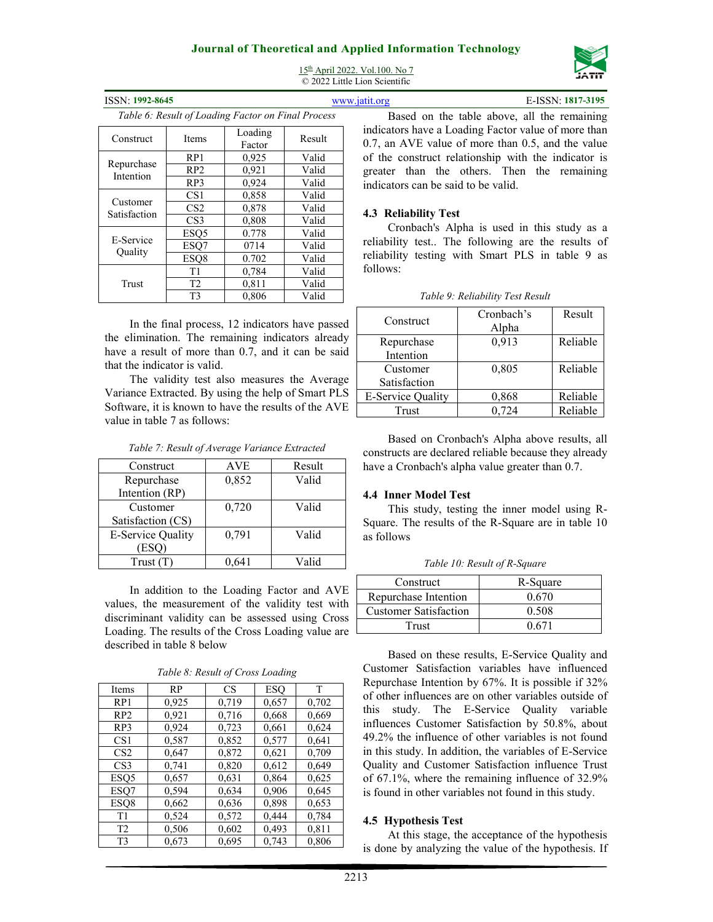## **Journal of Theoretical and Applied Information Technology**  15th April 2022. Vol.100. No 7

© 2022 Little Lion Scientific



| ISSN: 1992-8645                                                |                       |                                                    |        | E-ISSN: 1817-3195<br>www.jatit.org                                                                       |
|----------------------------------------------------------------|-----------------------|----------------------------------------------------|--------|----------------------------------------------------------------------------------------------------------|
|                                                                |                       | Table 6: Result of Loading Factor on Final Process |        | Based on the table above, all the remaining                                                              |
| Construct                                                      | <b>Items</b>          | Loading<br>Factor                                  | Result | indicators have a Loading Factor value of more than<br>0.7, an AVE value of more than 0.5, and the value |
|                                                                | RP1                   | 0,925                                              | Valid  | of the construct relationship with the indicator is                                                      |
| Repurchase                                                     | RP2                   | 0,921                                              | Valid  | greater than the others. Then the remaining                                                              |
| Intention                                                      | RP3<br>0,924<br>Valid |                                                    |        | indicators can be said to be valid.                                                                      |
|                                                                | CS <sub>1</sub>       | 0,858                                              | Valid  |                                                                                                          |
| Customer<br>CS <sub>2</sub><br>Satisfaction<br>CS <sub>3</sub> |                       | 0.878                                              | Valid  | 4.3 Reliability Test                                                                                     |
|                                                                | 0.808                 | Valid                                              |        |                                                                                                          |
|                                                                | ESQ <sub>5</sub>      | 0.778                                              | Valid  | Cronbach's Alpha is used in this study as a                                                              |
| E-Service<br>ESQ7<br><b>Quality</b><br>ESQ8                    |                       | 0714                                               | Valid  | reliability test The following are the results of                                                        |
|                                                                |                       | 0.702                                              | Valid  | reliability testing with Smart PLS in table 9 as                                                         |
|                                                                | T <sub>1</sub>        | 0,784                                              | Valid  | follows:                                                                                                 |
| Trust                                                          | T <sub>2</sub>        | 0,811                                              | Valid  |                                                                                                          |
|                                                                | T <sub>3</sub>        | 0,806                                              | Valid  | Table 9: Reliability Test Result                                                                         |

In the final process, 12 indicators have passed the elimination. The remaining indicators already have a result of more than 0.7, and it can be said that the indicator is valid.

The validity test also measures the Average Variance Extracted. By using the help of Smart PLS Software, it is known to have the results of the AVE value in table 7 as follows:

| Construct                | <b>AVE</b> | Result |
|--------------------------|------------|--------|
| Repurchase               | 0,852      | Valid  |
| Intention (RP)           |            |        |
| Customer                 | 0,720      | Valid  |
| Satisfaction (CS)        |            |        |
| <b>E-Service Quality</b> | 0,791      | Valid  |
| [ESQ]                    |            |        |
| Trust(T)                 |            | Valid  |

*Table 7: Result of Average Variance Extracted*

In addition to the Loading Factor and AVE values, the measurement of the validity test with discriminant validity can be assessed using Cross Loading. The results of the Cross Loading value are described in table 8 below

*Table 8: Result of Cross Loading*

| Items           | <b>RP</b> | CS    | <b>ESO</b> | т     |
|-----------------|-----------|-------|------------|-------|
| RP1             | 0,925     | 0,719 | 0,657      | 0,702 |
| RP2             | 0,921     | 0,716 | 0,668      | 0,669 |
| RP <sub>3</sub> | 0,924     | 0,723 | 0,661      | 0,624 |
| CS <sub>1</sub> | 0,587     | 0,852 | 0,577      | 0.641 |
| CS <sub>2</sub> | 0,647     | 0,872 | 0,621      | 0,709 |
| CS <sub>3</sub> | 0,741     | 0,820 | 0,612      | 0,649 |
| ESO5            | 0,657     | 0,631 | 0,864      | 0,625 |
| ESQ7            | 0,594     | 0,634 | 0,906      | 0,645 |
| ESO8            | 0,662     | 0,636 | 0,898      | 0,653 |
| T <sub>1</sub>  | 0,524     | 0,572 | 0,444      | 0,784 |
| T <sub>2</sub>  | 0,506     | 0,602 | 0,493      | 0,811 |
| T <sub>3</sub>  | 0,673     | 0,695 | 0,743      | 0,806 |

| Construct                | Cronbach's<br>Alpha | Result   |
|--------------------------|---------------------|----------|
| Repurchase               | 0,913               | Reliable |
| Intention                |                     |          |
| Customer                 | 0,805               | Reliable |
| Satisfaction             |                     |          |
| <b>E-Service Quality</b> | 0,868               | Reliable |
| Trust                    | 0.724               | Reliable |

*Table 9: Reliability Test Result* 

Based on Cronbach's Alpha above results, all constructs are declared reliable because they already have a Cronbach's alpha value greater than 0.7.

#### **4.4 Inner Model Test**

This study, testing the inner model using R-Square. The results of the R-Square are in table 10 as follows

| Tuble To. Result of R-Square |          |  |  |
|------------------------------|----------|--|--|
| Construct                    | R-Square |  |  |
| Repurchase Intention         | 0.670    |  |  |
| <b>Customer Satisfaction</b> | 0.508    |  |  |

Trust 0.671

*Table 10: Result of R-Square* 

Based on these results, E-Service Quality and Customer Satisfaction variables have influenced Repurchase Intention by 67%. It is possible if 32% of other influences are on other variables outside of this study. The E-Service Quality variable influences Customer Satisfaction by 50.8%, about 49.2% the influence of other variables is not found in this study. In addition, the variables of E-Service Quality and Customer Satisfaction influence Trust of 67.1%, where the remaining influence of 32.9% is found in other variables not found in this study.

#### **4.5 Hypothesis Test**

At this stage, the acceptance of the hypothesis is done by analyzing the value of the hypothesis. If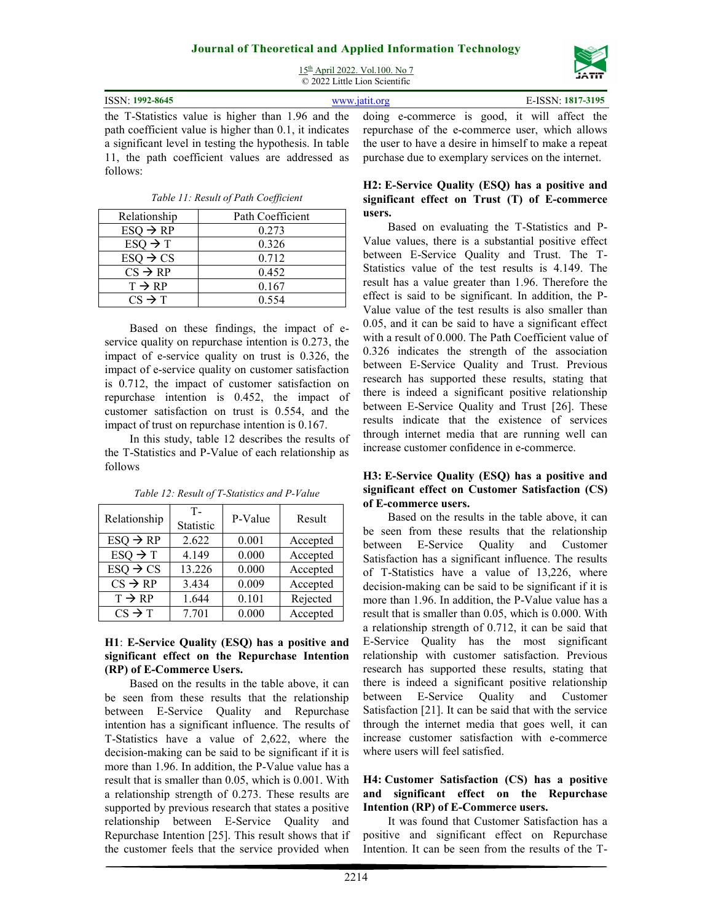

15<sup>th</sup> April 2022. Vol.100. No 7 © 2022 Little Lion Scientific

| ISSN: 1992-8645                                                                                         | www.jatit.org | E-ISSN: 1817-3195 |
|---------------------------------------------------------------------------------------------------------|---------------|-------------------|
| the T-Statistics value is higher than 1.96 and the doing e-commerce is good, it will affect the         |               |                   |
| path coefficient value is higher than 0.1, it indicates repurchase of the e-commerce user, which allows |               |                   |

path coefficient value is higher than 0.1, it indicates a significant level in testing the hypothesis. In table 11, the path coefficient values are addressed as follows:

| Relationship         | Path Coefficient |
|----------------------|------------------|
| $ESQ \rightarrow RP$ | 0.273            |
| $ESQ \rightarrow T$  | 0.326            |
| $ESQ \rightarrow CS$ | 0.712            |
| $CS \rightarrow RP$  | 0.452            |
| $T \rightarrow RP$   | 0.167            |
| $CS \rightarrow T$   | 0.554            |

*Table 11: Result of Path Coefficient*

Based on these findings, the impact of eservice quality on repurchase intention is 0.273, the impact of e-service quality on trust is 0.326, the impact of e-service quality on customer satisfaction is 0.712, the impact of customer satisfaction on repurchase intention is 0.452, the impact of customer satisfaction on trust is 0.554, and the impact of trust on repurchase intention is 0.167.

In this study, table 12 describes the results of the T-Statistics and P-Value of each relationship as follows

| Relationship         | т.<br>Statistic | P-Value | Result   |
|----------------------|-----------------|---------|----------|
| $ESQ \rightarrow RP$ | 2.622           | 0.001   | Accepted |
| $ESQ \rightarrow T$  | 4.149           | 0.000   | Accepted |
| $ESQ \rightarrow CS$ | 13.226          | 0.000   | Accepted |
| $CS \rightarrow RP$  | 3.434           | 0.009   | Accepted |
| $T \rightarrow RP$   | 1.644           | 0.101   | Rejected |
| $CS \rightarrow T$   | 7.701           | 0.000   | Accepted |

*Table 12: Result of T-Statistics and P-Value*

#### **H1**: **E-Service Quality (ESQ) has a positive and significant effect on the Repurchase Intention (RP) of E-Commerce Users.**

Based on the results in the table above, it can be seen from these results that the relationship between E-Service Quality and Repurchase intention has a significant influence. The results of T-Statistics have a value of 2,622, where the decision-making can be said to be significant if it is more than 1.96. In addition, the P-Value value has a result that is smaller than 0.05, which is 0.001. With a relationship strength of 0.273. These results are supported by previous research that states a positive relationship between E-Service Quality and Repurchase Intention [25]. This result shows that if the customer feels that the service provided when

repurchase of the e-commerce user, which allows the user to have a desire in himself to make a repeat purchase due to exemplary services on the internet.

#### **H2: E-Service Quality (ESQ) has a positive and significant effect on Trust (T) of E-commerce users.**

Based on evaluating the T-Statistics and P-Value values, there is a substantial positive effect between E-Service Quality and Trust. The T-Statistics value of the test results is 4.149. The result has a value greater than 1.96. Therefore the effect is said to be significant. In addition, the P-Value value of the test results is also smaller than 0.05, and it can be said to have a significant effect with a result of 0.000. The Path Coefficient value of 0.326 indicates the strength of the association between E-Service Quality and Trust. Previous research has supported these results, stating that there is indeed a significant positive relationship between E-Service Quality and Trust [26]. These results indicate that the existence of services through internet media that are running well can increase customer confidence in e-commerce.

#### **H3: E-Service Quality (ESQ) has a positive and significant effect on Customer Satisfaction (CS) of E-commerce users.**

Based on the results in the table above, it can be seen from these results that the relationship between E-Service Quality and Customer Satisfaction has a significant influence. The results of T-Statistics have a value of 13,226, where decision-making can be said to be significant if it is more than 1.96. In addition, the P-Value value has a result that is smaller than 0.05, which is 0.000. With a relationship strength of 0.712, it can be said that E-Service Quality has the most significant relationship with customer satisfaction. Previous research has supported these results, stating that there is indeed a significant positive relationship between E-Service Quality and Customer Satisfaction [21]. It can be said that with the service through the internet media that goes well, it can increase customer satisfaction with e-commerce where users will feel satisfied.

#### **H4: Customer Satisfaction (CS) has a positive and significant effect on the Repurchase Intention (RP) of E-Commerce users.**

It was found that Customer Satisfaction has a positive and significant effect on Repurchase Intention. It can be seen from the results of the T-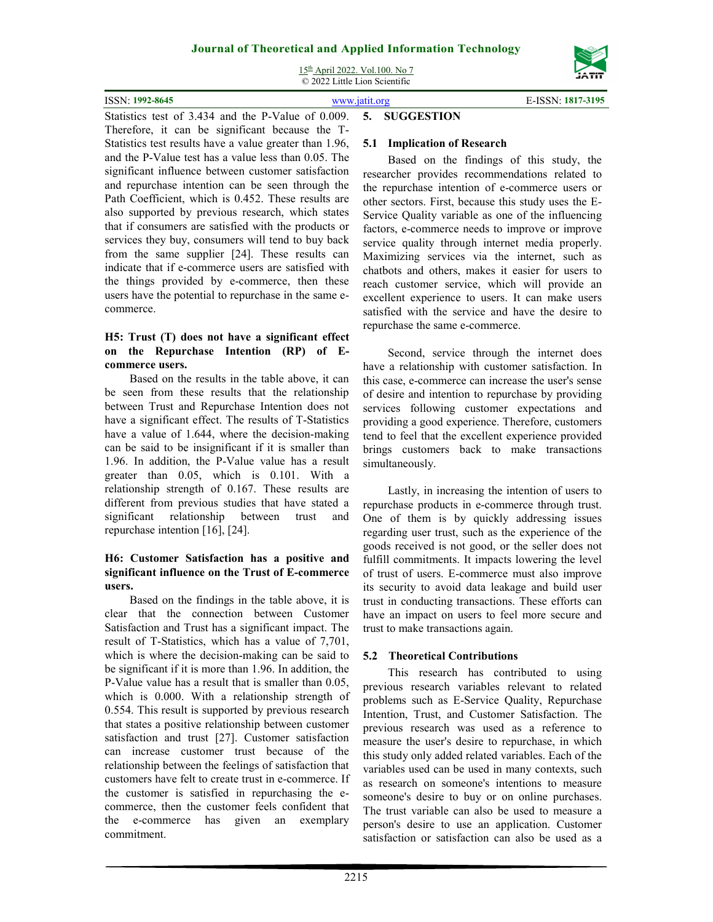15th April 2022. Vol.100. No 7 © 2022 Little Lion Scientific



ISSN: **1992-8645** www.jatit.org E-ISSN: **1817-3195** Statistics test of 3.434 and the P-Value of 0.009. **5. SUGGESTION** 

Therefore, it can be significant because the T-Statistics test results have a value greater than 1.96, and the P-Value test has a value less than 0.05. The significant influence between customer satisfaction and repurchase intention can be seen through the Path Coefficient, which is 0.452. These results are also supported by previous research, which states that if consumers are satisfied with the products or services they buy, consumers will tend to buy back from the same supplier [24]. These results can indicate that if e-commerce users are satisfied with the things provided by e-commerce, then these users have the potential to repurchase in the same ecommerce.

#### **H5: Trust (T) does not have a significant effect on the Repurchase Intention (RP) of Ecommerce users.**

Based on the results in the table above, it can be seen from these results that the relationship between Trust and Repurchase Intention does not have a significant effect. The results of T-Statistics have a value of 1.644, where the decision-making can be said to be insignificant if it is smaller than 1.96. In addition, the P-Value value has a result greater than 0.05, which is 0.101. With a relationship strength of 0.167. These results are different from previous studies that have stated a significant relationship between trust and repurchase intention [16], [24].

#### **H6: Customer Satisfaction has a positive and significant influence on the Trust of E-commerce users.**

Based on the findings in the table above, it is clear that the connection between Customer Satisfaction and Trust has a significant impact. The result of T-Statistics, which has a value of 7,701, which is where the decision-making can be said to be significant if it is more than 1.96. In addition, the P-Value value has a result that is smaller than 0.05, which is 0.000. With a relationship strength of 0.554. This result is supported by previous research that states a positive relationship between customer satisfaction and trust [27]. Customer satisfaction can increase customer trust because of the relationship between the feelings of satisfaction that customers have felt to create trust in e-commerce. If the customer is satisfied in repurchasing the ecommerce, then the customer feels confident that the e-commerce has given an exemplary commitment.

#### **5.1 Implication of Research**

Based on the findings of this study, the researcher provides recommendations related to the repurchase intention of e-commerce users or other sectors. First, because this study uses the E-Service Quality variable as one of the influencing factors, e-commerce needs to improve or improve service quality through internet media properly. Maximizing services via the internet, such as chatbots and others, makes it easier for users to reach customer service, which will provide an excellent experience to users. It can make users satisfied with the service and have the desire to repurchase the same e-commerce.

Second, service through the internet does have a relationship with customer satisfaction. In this case, e-commerce can increase the user's sense of desire and intention to repurchase by providing services following customer expectations and providing a good experience. Therefore, customers tend to feel that the excellent experience provided brings customers back to make transactions simultaneously.

Lastly, in increasing the intention of users to repurchase products in e-commerce through trust. One of them is by quickly addressing issues regarding user trust, such as the experience of the goods received is not good, or the seller does not fulfill commitments. It impacts lowering the level of trust of users. E-commerce must also improve its security to avoid data leakage and build user trust in conducting transactions. These efforts can have an impact on users to feel more secure and trust to make transactions again.

#### **5.2 Theoretical Contributions**

This research has contributed to using previous research variables relevant to related problems such as E-Service Quality, Repurchase Intention, Trust, and Customer Satisfaction. The previous research was used as a reference to measure the user's desire to repurchase, in which this study only added related variables. Each of the variables used can be used in many contexts, such as research on someone's intentions to measure someone's desire to buy or on online purchases. The trust variable can also be used to measure a person's desire to use an application. Customer satisfaction or satisfaction can also be used as a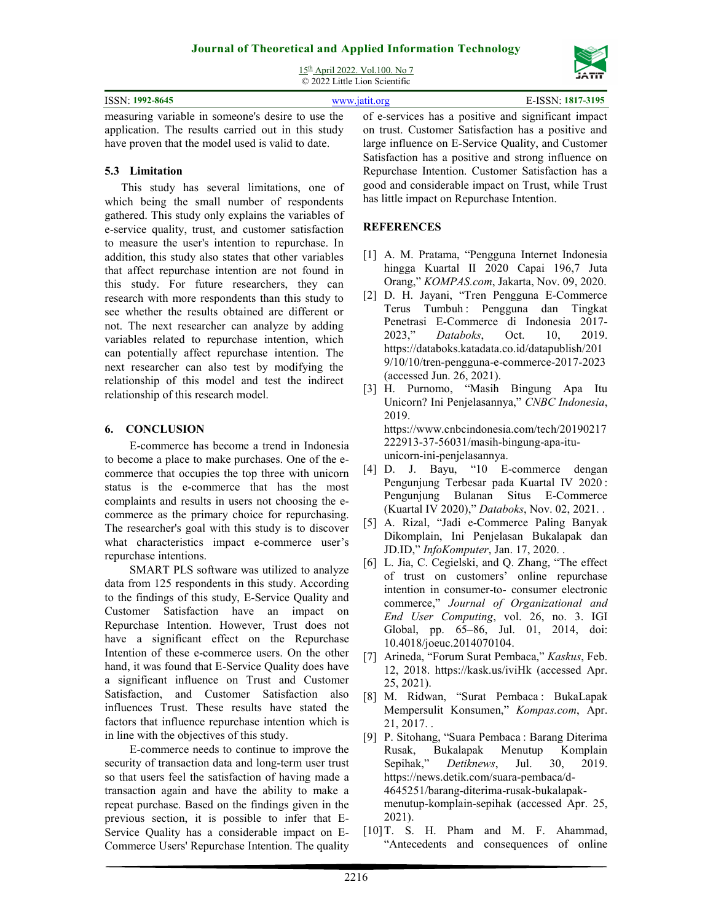# **Journal of Theoretical and Applied Information Technology**  15th April 2022. Vol.100. No 7

| -------<br>$\odot$ 2022 Little Lion Scientific                                                        |                                                    |                   |  |
|-------------------------------------------------------------------------------------------------------|----------------------------------------------------|-------------------|--|
| ISSN: 1992-8645                                                                                       | www.jatit.org                                      | E-ISSN: 1817-3195 |  |
| measuring variable in someone's desire to use the of e-services has a positive and significant impact |                                                    |                   |  |
| application. The results carried out in this study                                                    | on trust. Customer Satisfaction has a positive and |                   |  |

application. The results carried out in this study have proven that the model used is valid to date.

#### **5.3 Limitation**

This study has several limitations, one of which being the small number of respondents gathered. This study only explains the variables of e-service quality, trust, and customer satisfaction to measure the user's intention to repurchase. In addition, this study also states that other variables that affect repurchase intention are not found in this study. For future researchers, they can research with more respondents than this study to see whether the results obtained are different or not. The next researcher can analyze by adding variables related to repurchase intention, which can potentially affect repurchase intention. The next researcher can also test by modifying the relationship of this model and test the indirect relationship of this research model.

#### **6. CONCLUSION**

E-commerce has become a trend in Indonesia to become a place to make purchases. One of the ecommerce that occupies the top three with unicorn status is the e-commerce that has the most complaints and results in users not choosing the ecommerce as the primary choice for repurchasing. The researcher's goal with this study is to discover what characteristics impact e-commerce user's repurchase intentions.

SMART PLS software was utilized to analyze data from 125 respondents in this study. According to the findings of this study, E-Service Quality and Customer Satisfaction have an impact on Repurchase Intention. However, Trust does not have a significant effect on the Repurchase Intention of these e-commerce users. On the other hand, it was found that E-Service Quality does have a significant influence on Trust and Customer Satisfaction, and Customer Satisfaction also influences Trust. These results have stated the factors that influence repurchase intention which is in line with the objectives of this study.

E-commerce needs to continue to improve the security of transaction data and long-term user trust so that users feel the satisfaction of having made a transaction again and have the ability to make a repeat purchase. Based on the findings given in the previous section, it is possible to infer that E-Service Quality has a considerable impact on E-Commerce Users' Repurchase Intention. The quality

on trust. Customer Satisfaction has a positive and large influence on E-Service Quality, and Customer Satisfaction has a positive and strong influence on Repurchase Intention. Customer Satisfaction has a good and considerable impact on Trust, while Trust has little impact on Repurchase Intention.

#### **REFERENCES**

- [1] A. M. Pratama, "Pengguna Internet Indonesia hingga Kuartal II 2020 Capai 196,7 Juta Orang," *KOMPAS.com*, Jakarta, Nov. 09, 2020.
- [2] D. H. Jayani, "Tren Pengguna E-Commerce Terus Tumbuh : Pengguna dan Tingkat Penetrasi E-Commerce di Indonesia 2017- 2023," *Databoks*, Oct. 10, 2019. https://databoks.katadata.co.id/datapublish/201 9/10/10/tren-pengguna-e-commerce-2017-2023 (accessed Jun. 26, 2021).
- [3] H. Purnomo, "Masih Bingung Apa Itu Unicorn? Ini Penjelasannya," *CNBC Indonesia*, 2019. https://www.cnbcindonesia.com/tech/20190217 222913-37-56031/masih-bingung-apa-ituunicorn-ini-penjelasannya.
- [4] D. J. Bayu, "10 E-commerce dengan Pengunjung Terbesar pada Kuartal IV 2020 : Pengunjung Bulanan Situs E-Commerce (Kuartal IV 2020)," *Databoks*, Nov. 02, 2021. .
- [5] A. Rizal, "Jadi e-Commerce Paling Banyak Dikomplain, Ini Penjelasan Bukalapak dan JD.ID," *InfoKomputer*, Jan. 17, 2020. .
- [6] L. Jia, C. Cegielski, and Q. Zhang, "The effect of trust on customers' online repurchase intention in consumer-to- consumer electronic commerce," *Journal of Organizational and End User Computing*, vol. 26, no. 3. IGI Global, pp. 65–86, Jul. 01, 2014, doi: 10.4018/joeuc.2014070104.
- [7] Arineda, "Forum Surat Pembaca," *Kaskus*, Feb. 12, 2018. https://kask.us/iviHk (accessed Apr. 25, 2021).
- [8] M. Ridwan, "Surat Pembaca : BukaLapak Mempersulit Konsumen," *Kompas.com*, Apr. 21, 2017. .
- [9] P. Sitohang, "Suara Pembaca : Barang Diterima Rusak, Bukalapak Menutup Komplain Sepihak," *Detiknews*, Jul. 30, 2019. https://news.detik.com/suara-pembaca/d-4645251/barang-diterima-rusak-bukalapakmenutup-komplain-sepihak (accessed Apr. 25, 2021).
- [10] T. S. H. Pham and M. F. Ahammad, "Antecedents and consequences of online